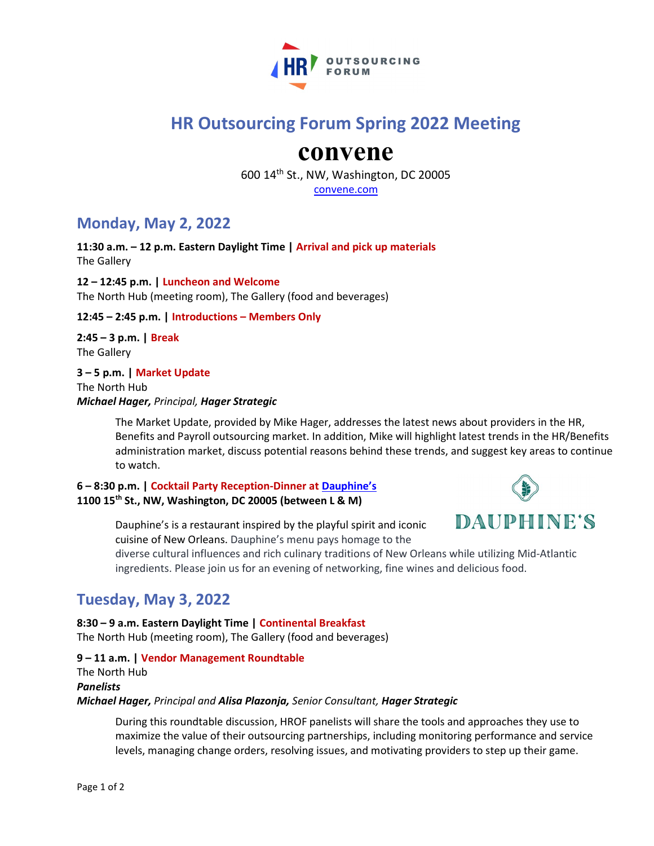

# HR Outsourcing Forum Spring 2022 Meeting

# convene

600 14th St., NW, Washington, DC 20005

convene.com

# Monday, May 2, 2022

11:30 a.m. – 12 p.m. Eastern Daylight Time | Arrival and pick up materials The Gallery

12 – 12:45 p.m. | Luncheon and Welcome The North Hub (meeting room), The Gallery (food and beverages)

## 12:45 – 2:45 p.m. | Introductions – Members Only

2:45 – 3 p.m. | Break The Gallery

3 – 5 p.m. | Market Update The North Hub Michael Hager, Principal, Hager Strategic

> The Market Update, provided by Mike Hager, addresses the latest news about providers in the HR, Benefits and Payroll outsourcing market. In addition, Mike will highlight latest trends in the HR/Benefits administration market, discuss potential reasons behind these trends, and suggest key areas to continue to watch.

### 6 – 8:30 p.m. | Cocktail Party Reception-Dinner at Dauphine's 1100 15th St., NW, Washington, DC 20005 (between L & M)



Dauphine's is a restaurant inspired by the playful spirit and iconic cuisine of New Orleans. Dauphine's menu pays homage to the

diverse cultural influences and rich culinary traditions of New Orleans while utilizing Mid-Atlantic ingredients. Please join us for an evening of networking, fine wines and delicious food.

# Tuesday, May 3, 2022

8:30 – 9 a.m. Eastern Daylight Time | Continental Breakfast The North Hub (meeting room), The Gallery (food and beverages)

## 9 – 11 a.m. | Vendor Management Roundtable The North Hub Panelists Michael Hager, Principal and Alisa Plazonja, Senior Consultant, Hager Strategic

During this roundtable discussion, HROF panelists will share the tools and approaches they use to maximize the value of their outsourcing partnerships, including monitoring performance and service levels, managing change orders, resolving issues, and motivating providers to step up their game.